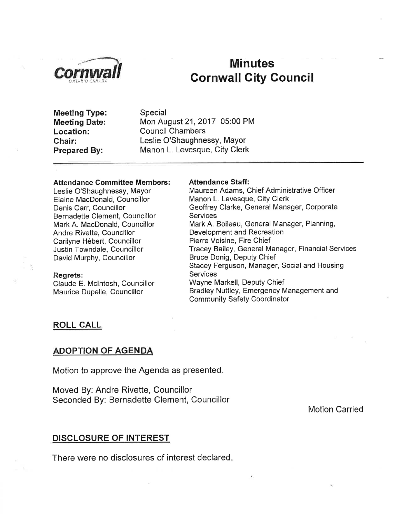

# Minutes **Cornwall City Council**

Meeting Type: Meeting Date: Location: Chair: Prepared By:

Special Mon August21,2017 05:00 PM Council Chambers Leslie O'Shaughnessy, Mayor Manon L. Levesque, City Clerk

#### Attendance Gommittee Members:

Leslie O'Shaughnessy, Mayor Elaine MacDonald, Councillor Denis Carr, Councillor Bernadette Clement, Councillor Mark A. MacDonald, Councillor Andre Rivette, Councillor Carilyne Hébert, Councillor Justin Towndale, Councillor David Murphy, Councillor

#### Regrets:

Claude E. Mclntosh, Councillor Maurice Dupelle, Councillor

#### Attendance Staff:

Maureen Adams, Chief Administrative Officer Manon L. Levesque, City Clerk Geoffrey Clarke, General Manager, Corporate **Services** Mark A. Boileau, General Manager, Planning, Development and Recreation Pierre Voisine, Fire Chief Tracey Bailey, General Manager, Financial Services Bruce Donig, Deputy Chief Stacey Ferguson, Manager, Social and Housing Services Wayne Markell, Deputy Chief Bradley Nuttley, Emergency Management and Community Safety Coordinator

### ROLL CALL

## **ADOPTION OF AGENDA**

Motion to approve the Agenda as presented

Moved By: Andre Rivette, Councillor Seconded By: Bernadette Clement, Councillor

Motion Carried

## DISCLOSURE OF INTEREST

There were no disclosures of interest declared